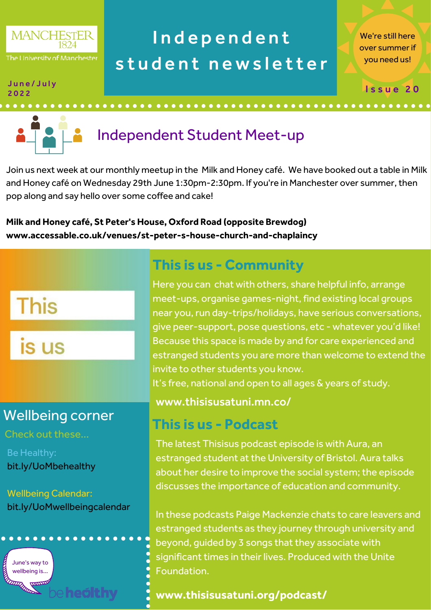

# Independent student newsletter

We're still here over summer if you need us!

Issue 20

#### J u n e / J u l y 2 0 2 2



# Independent Student Meet-up

Join us next week at our monthly meetup in the Milk and Honey café. We have booked out a table in Milk and Honey café on Wednesday 29th June 1:30pm-2:30pm. If you're in Manchester over summer, then pop along and say hello over some coffee and cake!

**Milk and Honey café, St Peter's House, Oxford Road (opposite Brewdog) www.accessable.co.uk/venues/st-peter-s-house-church-and-chaplaincy**

# **This**

is us

## Wellbeing corner

Check out these...

Be Healthy: bit.ly/UoMbehealthy

Wellbeing Calendar: bit.ly/UoMwellbeingcalendar



## **This is us - Community**

Here you can chat with others, share helpful info, arrange meet-ups, organise games-night, find existing local groups near you, run day-trips/holidays, have serious conversations, give peer-support, pose questions, etc - whatever you'd like! Because this space is made by and for care experienced and estranged students you are more than welcome to extend the invite to other students you know. It's free, national and open to all ages & years of study.

#### www.thisisusatuni.mn.co/

### **This is us - Podcast**

The latest Thisisus podcast episode is with Aura, an estranged student at the University of Bristol. Aura talks about her desire to improve the social system; the episode discusses the importance of education and community.

In these podcasts Paige Mackenzie chats to care leavers and estranged students as they journey through university and beyond, guided by 3 songs that they associate with significant times in their lives. Produced with the Unite Foundation.

#### **www.[thisisusatuni.org/podcast/](https://open.spotify.com/episode/1MRZsBpCZDtrYlTAcFbF0v%E2%80%A6)**